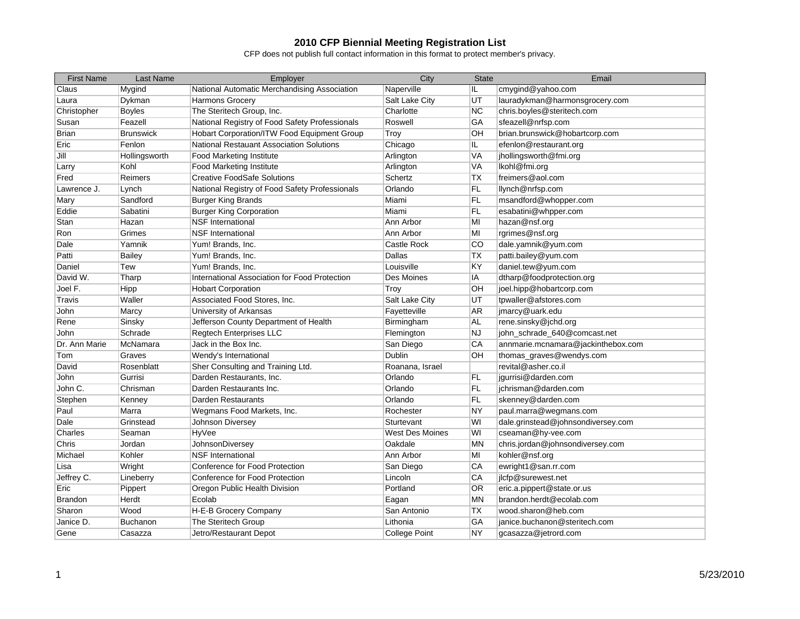| <b>First Name</b> | Last Name        | Employer                                             | City                   | <b>State</b> | Email                              |
|-------------------|------------------|------------------------------------------------------|------------------------|--------------|------------------------------------|
| Claus             | Mygind           | National Automatic Merchandising Association         | Naperville             | IL           | cmygind@yahoo.com                  |
| Laura             | Dykman           | <b>Harmons Grocery</b>                               | Salt Lake City         | UT           | lauradykman@harmonsgrocery.com     |
| Christopher       | <b>Boyles</b>    | The Steritech Group, Inc.                            | Charlotte              | <b>NC</b>    | chris.boyles@steritech.com         |
| Susan             | Feazell          | National Registry of Food Safety Professionals       | Roswell                | GA           | sfeazell@nrfsp.com                 |
| <b>Brian</b>      | <b>Brunswick</b> | Hobart Corporation/ITW Food Equipment Group          | Troy                   | OН           | brian.brunswick@hobartcorp.com     |
| Eric              | Fenlon           | <b>National Restauant Association Solutions</b>      | Chicago                | IL.          | efenlon@restaurant.org             |
| Jill              | Hollingsworth    | <b>Food Marketing Institute</b>                      | Arlington              | <b>VA</b>    | jhollingsworth@fmi.org             |
| Larry             | Kohl             | <b>Food Marketing Institute</b>                      | Arlington              | VA           | lkohl@fmi.org                      |
| Fred              | Reimers          | <b>Creative FoodSafe Solutions</b>                   | Schertz                | <b>TX</b>    | freimers@aol.com                   |
| Lawrence J.       | Lynch            | National Registry of Food Safety Professionals       | Orlando                | FL           | llynch@nrfsp.com                   |
| Mary              | Sandford         | <b>Burger King Brands</b>                            | Miami                  | FL           | msandford@whopper.com              |
| Eddie             | Sabatini         | <b>Burger King Corporation</b>                       | Miami                  | <b>FL</b>    | esabatini@whpper.com               |
| Stan              | Hazan            | <b>NSF International</b>                             | Ann Arbor              | MI           | hazan@nsf.org                      |
| Ron               | Grimes           | <b>NSF</b> International                             | Ann Arbor              | MI           | rgrimes@nsf.org                    |
| Dale              | Yamnik           | Yum! Brands, Inc.                                    | <b>Castle Rock</b>     | CO           | dale.yamnik@yum.com                |
| Patti             | <b>Bailey</b>    | Yum! Brands, Inc.                                    | Dallas                 | ТX           | patti.bailey@yum.com               |
| Daniel            | Tew              | Yum! Brands, Inc.                                    | Louisville             | ΚY           | daniel.tew@yum.com                 |
| David W.          | Tharp            | <b>International Association for Food Protection</b> | Des Moines             | IA           | dtharp@foodprotection.org          |
| Joel F.           | Hipp             | <b>Hobart Corporation</b>                            | Troy                   | OH           | joel.hipp@hobartcorp.com           |
| Travis            | Waller           | Associated Food Stores, Inc.                         | Salt Lake City         | UT           | tpwaller@afstores.com              |
| John              | Marcy            | University of Arkansas                               | Fayetteville           | <b>AR</b>    | jmarcy@uark.edu                    |
| Rene              | Sinsky           | Jefferson County Department of Health                | Birmingham             | AL           | rene.sinsky@jchd.org               |
| John              | Schrade          | <b>Regtech Enterprises LLC</b>                       | Flemington             | <b>NJ</b>    | john_schrade_640@comcast.net       |
| Dr. Ann Marie     | McNamara         | Jack in the Box Inc.                                 | San Diego              | CA           | annmarie.mcnamara@jackinthebox.com |
| Tom               | Graves           | Wendy's International                                | Dublin                 | OН           | thomas_graves@wendys.com           |
| David             | Rosenblatt       | Sher Consulting and Training Ltd.                    | Roanana, Israel        |              | revital@asher.co.il                |
| John              | Gurrisi          | Darden Restaurants, Inc.                             | Orlando                | FL           | jgurrisi@darden.com                |
| John C.           | Chrisman         | Darden Restaurants Inc.                              | Orlando                | <b>FL</b>    | jchrisman@darden.com               |
| Stephen           | Kenney           | Darden Restaurants                                   | Orlando                | <b>FL</b>    | skenney@darden.com                 |
| Paul              | Marra            | Wegmans Food Markets, Inc.                           | Rochester              | <b>NY</b>    | paul.marra@wegmans.com             |
| Dale              | Grinstead        | Johnson Diversey                                     | Sturtevant             | WI           | dale.grinstead@johnsondiversey.com |
| Charles           | Seaman           | HyVee                                                | <b>West Des Moines</b> | WI           | cseaman@hy-vee.com                 |
| Chris             | Jordan           | JohnsonDiversey                                      | Oakdale                | <b>MN</b>    | chris.jordan@johnsondiversey.com   |
| Michael           | Kohler           | <b>NSF</b> International                             | Ann Arbor              | MI           | kohler@nsf.org                     |
| Lisa              | Wright           | <b>Conference for Food Protection</b>                | San Diego              | CA           | ewright1@san.rr.com                |
| Jeffrey C.        | Lineberry        | <b>Conference for Food Protection</b>                | Lincoln                | CA           | jlcfp@surewest.net                 |
| Eric              | Pippert          | Oregon Public Health Division                        | Portland               | <b>OR</b>    | eric.a.pippert@state.or.us         |
| <b>Brandon</b>    | Herdt            | Ecolab                                               | Eagan                  | <b>MN</b>    | brandon.herdt@ecolab.com           |
| Sharon            | Wood             | H-E-B Grocery Company                                | San Antonio            | <b>TX</b>    | wood.sharon@heb.com                |
| Janice D.         | Buchanon         | The Steritech Group                                  | Lithonia               | GA           | janice.buchanon@steritech.com      |
| Gene              | Casazza          | Jetro/Restaurant Depot                               | <b>College Point</b>   | <b>NY</b>    | gcasazza@jetrord.com               |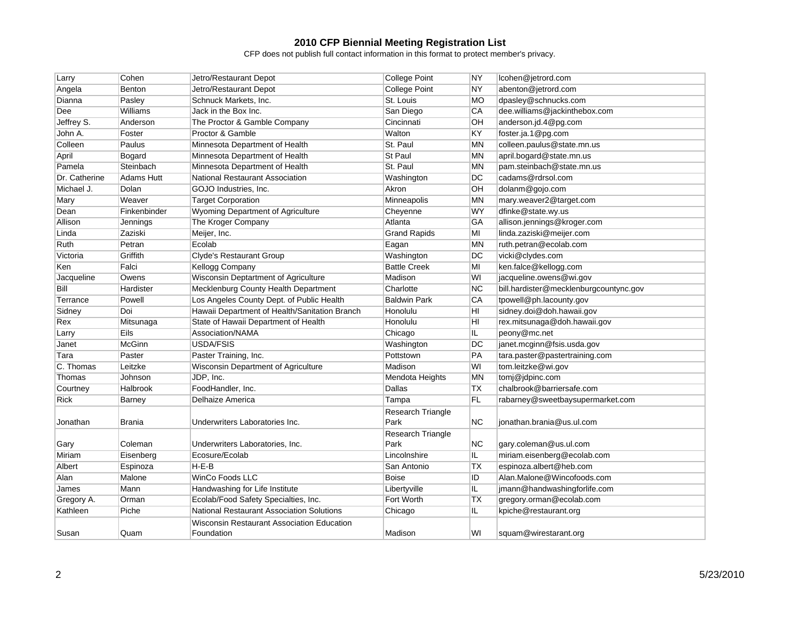| Larry         | Cohen             | Jetro/Restaurant Depot                           | <b>College Point</b> | NY        | lcohen@jetrord.com                     |
|---------------|-------------------|--------------------------------------------------|----------------------|-----------|----------------------------------------|
| Angela        | Benton            | Jetro/Restaurant Depot                           | <b>College Point</b> | <b>NY</b> | abenton@jetrord.com                    |
| Dianna        | Pasley            | Schnuck Markets, Inc.                            | St. Louis            | <b>MO</b> | dpasley@schnucks.com                   |
| Dee           | Williams          | Jack in the Box Inc.                             | San Diego            | СA        | dee.williams@jackinthebox.com          |
| Jeffrey S.    | Anderson          | The Proctor & Gamble Company                     | Cincinnati           | <b>OH</b> | anderson.jd.4@pg.com                   |
| John A.       | Foster            | Proctor & Gamble                                 | Walton               | KY        | foster.ja.1@pg.com                     |
| Colleen       | Paulus            | Minnesota Department of Health                   | St. Paul             | MN        | colleen.paulus@state.mn.us             |
| April         | Bogard            | Minnesota Department of Health                   | St Paul              | <b>MN</b> | april.bogard@state.mn.us               |
| Pamela        | Steinbach         | Minnesota Department of Health                   | St. Paul             | ΜN        | pam.steinbach@state.mn.us              |
| Dr. Catherine | <b>Adams Hutt</b> | National Restaurant Association                  | Washington           | DC        | cadams@rdrsol.com                      |
| Michael J.    | Dolan             | GOJO Industries, Inc.                            | Akron                | OH        | dolanm@gojo.com                        |
| Mary          | Weaver            | <b>Target Corporation</b>                        | Minneapolis          | <b>MN</b> | mary.weaver2@target.com                |
| Dean          | Finkenbinder      | <b>Wyoming Department of Agriculture</b>         | Cheyenne             | <b>WY</b> | dfinke@state.wy.us                     |
| Allison       | Jennings          | The Kroger Company                               | Atlanta              | GA        | allison.jennings@kroger.com            |
| Linda         | Zaziski           | Meijer, Inc.                                     | <b>Grand Rapids</b>  | MI        | linda.zaziski@meijer.com               |
| Ruth          | Petran            | Ecolab                                           | Eagan                | <b>MN</b> | ruth.petran@ecolab.com                 |
| Victoria      | Griffith          | <b>Clyde's Restaurant Group</b>                  | Washington           | DC        | vicki@clydes.com                       |
| Ken           | Falci             | <b>Kellogg Company</b>                           | <b>Battle Creek</b>  | MI        | ken.falce@kellogg.com                  |
| Jacqueline    | Owens             | Wisconsin Deptartment of Agriculture             | Madison              | WI        | jacqueline.owens@wi.gov                |
| Bill          | Hardister         | Mecklenburg County Health Department             | Charlotte            | <b>NC</b> | bill.hardister@mecklenburgcountync.gov |
| Terrance      | Powell            | Los Angeles County Dept. of Public Health        | <b>Baldwin Park</b>  | CA        | tpowell@ph.lacounty.gov                |
| Sidney        | Doi               | Hawaii Department of Health/Sanitation Branch    | Honolulu             | HI        | sidney.doi@doh.hawaii.gov              |
| Rex           | Mitsunaga         | State of Hawaii Department of Health             | Honolulu             | HI        | rex.mitsunaga@doh.hawaii.gov           |
| Larry         | Eils              | Association/NAMA                                 | Chicago              | IL.       | peony@mc.net                           |
| Janet         | McGinn            | <b>USDA/FSIS</b>                                 | Washington           | DC        | janet.mcginn@fsis.usda.gov             |
| Tara          | Paster            | Paster Training, Inc.                            | Pottstown            | PA        | tara.paster@pastertraining.com         |
| C. Thomas     | Leitzke           | Wisconsin Department of Agriculture              | Madison              | WI        | tom.leitzke@wi.gov                     |
| Thomas        | Johnson           | JDP, Inc.                                        | Mendota Heights      | MN        | tomj@jdpinc.com                        |
| Courtney      | Halbrook          | FoodHandler, Inc.                                | Dallas               | TX        | chalbrook@barriersafe.com              |
| Rick          | Barney            | Delhaize America                                 | Tampa                | FL        | rabarney@sweetbaysupermarket.com       |
|               |                   |                                                  | Research Triangle    |           |                                        |
| Jonathan      | Brania            | Underwriters Laboratories Inc.                   | Park                 | ΝC        | jonathan.brania@us.ul.com              |
|               |                   |                                                  | Research Triangle    |           |                                        |
| Gary          | Coleman           | Underwriters Laboratories, Inc.                  | Park                 | <b>NC</b> | gary.coleman@us.ul.com                 |
| Miriam        | Eisenberg         | Ecosure/Ecolab                                   | Lincolnshire         | IL.       | miriam.eisenberg@ecolab.com            |
| Albert        | Espinoza          | $H-E-B$                                          | San Antonio          | TX        | espinoza.albert@heb.com                |
| Alan          | Malone            | WinCo Foods LLC                                  | <b>Boise</b>         | ID        | Alan.Malone@Wincofoods.com             |
| James         | Mann              | Handwashing for Life Institute                   | Libertyville         | IL        | jmann@handwashingforlife.com           |
| Gregory A.    | Orman             | Ecolab/Food Safety Specialties, Inc.             | Fort Worth           | <b>TX</b> | gregory.orman@ecolab.com               |
| Kathleen      | Piche             | <b>National Restaurant Association Solutions</b> | Chicago              | IL.       | kpiche@restaurant.org                  |
|               |                   | Wisconsin Restaurant Association Education       |                      |           |                                        |
| Susan         | Quam              | Foundation                                       | Madison              | WI        | squam@wirestarant.org                  |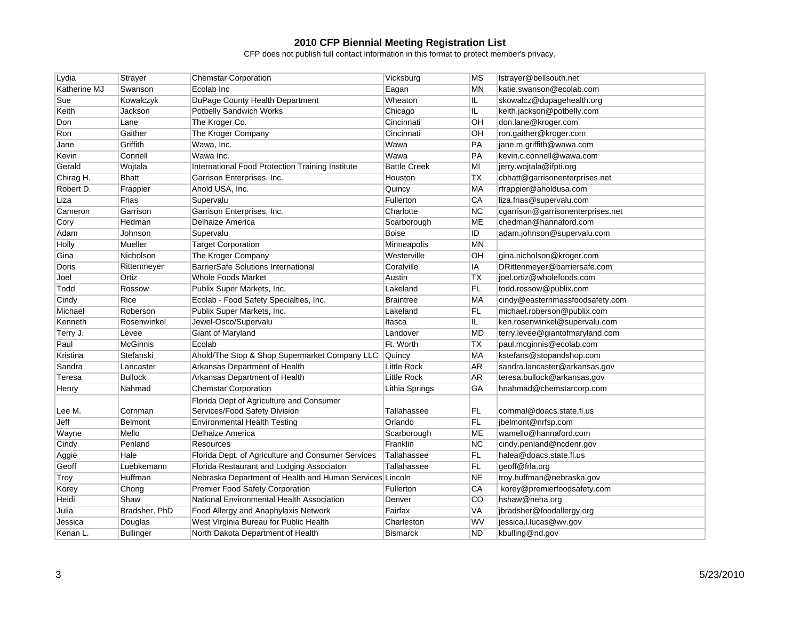| Lydia        | <b>Strayer</b>   | <b>Chemstar Corporation</b>                              | Vicksburg           | MS              | Istrayer@bellsouth.net            |
|--------------|------------------|----------------------------------------------------------|---------------------|-----------------|-----------------------------------|
| Katherine MJ | Swanson          | Ecolab Inc                                               | Eagan               | <b>MN</b>       | katie.swanson@ecolab.com          |
| Sue          | Kowalczyk        | DuPage County Health Department                          | Wheaton             | IL.             | skowalcz@dupagehealth.org         |
| Keith        | Jackson          | <b>Potbelly Sandwich Works</b>                           | Chicago             | IL.             | keith.jackson@potbelly.com        |
| Don          | Lane             | The Kroger Co.                                           | Cincinnati          | OH              | don.lane@kroger.com               |
| Ron          | Gaither          | The Kroger Company                                       | Cincinnati          | OH              | ron.gaither@kroger.com            |
| Jane         | Griffith         | Wawa, Inc.                                               | Wawa                | PA              | jane.m.griffith@wawa.com          |
| Kevin        | Connell          | Wawa Inc.                                                | Wawa                | PA              | kevin.c.connell@wawa.com          |
| Gerald       | Wojtala          | <b>International Food Protection Training Institute</b>  | <b>Battle Creek</b> | MI              | jerry.wojtala@ifpti.org           |
| Chirag H.    | <b>Bhatt</b>     | Garrison Enterprises, Inc.                               | Houston             | <b>TX</b>       | cbhatt@garrisonenterprises.net    |
| Robert D.    | Frappier         | Ahold USA, Inc.                                          | Quincy              | MA              | rfrappier@aholdusa.com            |
| Liza         | Frias            | Supervalu                                                | Fullerton           | CA              | liza.frias@supervalu.com          |
| Cameron      | Garrison         | Garrison Enterprises, Inc.                               | Charlotte           | <b>NC</b>       | cgarrison@garrisonenterprises.net |
| Cory         | Hedman           | Delhaize America                                         | Scarborough         | ME              | chedman@hannaford.com             |
| Adam         | Johnson          | Supervalu                                                | Boise               | ID              | adam.johnson@supervalu.com        |
| Holly        | Mueller          | <b>Target Corporation</b>                                | Minneapolis         | <b>MN</b>       |                                   |
| Gina         | Nicholson        | The Kroger Company                                       | Westerville         | OH              | gina.nicholson@kroger.com         |
| Doris        | Rittenmeyer      | <b>BarrierSafe Solutions International</b>               | Coralville          | IA              | DRittenmeyer@barriersafe.com      |
| Joel         | Ortiz            | <b>Whole Foods Market</b>                                | Austin              | <b>TX</b>       | joel.ortiz@wholefoods.com         |
| Todd         | Rossow           | Publix Super Markets, Inc.                               | Lakeland            | FL.             | todd.rossow@publix.com            |
| Cindy        | Rice             | Ecolab - Food Safety Specialties, Inc.                   | <b>Braintree</b>    | MA              | cindy@easternmassfoodsafety.com   |
| Michael      | Roberson         | Publix Super Markets, Inc.                               | Lakeland            | FL              | michael.roberson@publix.com       |
| Kenneth      | Rosenwinkel      | Jewel-Osco/Supervalu                                     | Itasca              | IL.             | ken.rosenwinkel@supervalu.com     |
| Terry J.     | Levee            | Giant of Maryland                                        | Landover            | <b>MD</b>       | terry.levee@giantofmaryland.com   |
| Paul         | <b>McGinnis</b>  | Ecolab                                                   | Ft. Worth           | <b>TX</b>       | paul.mcginnis@ecolab.com          |
| Kristina     | Stefanski        | Ahold/The Stop & Shop Supermarket Company LLC            | Quincy              | <b>MA</b>       | kstefans@stopandshop.com          |
| Sandra       | Lancaster        | Arkansas Department of Health                            | <b>Little Rock</b>  | AR              | sandra.lancaster@arkansas.gov     |
| Teresa       | <b>Bullock</b>   | Arkansas Department of Health                            | <b>Little Rock</b>  | <b>AR</b>       | teresa.bullock@arkansas.gov       |
| Henry        | Nahmad           | <b>Chemstar Corporation</b>                              | Lithia Springs      | <b>GA</b>       | hnahmad@chemstarcorp.com          |
|              |                  | Florida Dept of Agriculture and Consumer                 |                     |                 |                                   |
| Lee M.       | Cornman          | Services/Food Safety Division                            | Tallahassee         | FL.             | cornmal@doacs.state.fl.us         |
| Jeff         | <b>Belmont</b>   | Environmental Health Testing                             | Orlando             | FL              | jbelmont@nrfsp.com                |
| Wayne        | Mello            | Delhaize America                                         | Scarborough         | <b>ME</b>       | wamello@hannaford.com             |
| Cindy        | Penland          | <b>Resources</b>                                         | Franklin            | <b>NC</b>       | cindy.penland@ncdenr.gov          |
| Aggie        | Hale             | Florida Dept. of Agriculture and Consumer Services       | Tallahassee         | FL              | halea@doacs.state.fl.us           |
| Geoff        | Luebkemann       | Florida Restaurant and Lodging Associaton                | Tallahassee         | <b>FL</b>       | geoff@frla.org                    |
| Troy         | Huffman          | Nebraska Department of Health and Human Services Lincoln |                     | <b>NE</b>       | troy.huffman@nebraska.gov         |
| Korey        | Chong            | Premier Food Safety Corporation                          | Fullerton           | CA              | korey@premierfoodsafety.com       |
| Heidi        | Shaw             | National Environmental Health Association                | Denver              | $\overline{CO}$ | hshaw@neha.org                    |
| Julia        | Bradsher, PhD    | Food Allergy and Anaphylaxis Network                     | Fairfax             | VA              | jbradsher@foodallergy.org         |
| Jessica      | Douglas          | West Virginia Bureau for Public Health                   | Charleston          | WV              | jessica.l.lucas@wv.gov            |
| Kenan L.     | <b>Bullinger</b> | North Dakota Department of Health                        | <b>Bismarck</b>     | <b>ND</b>       | kbulling@nd.gov                   |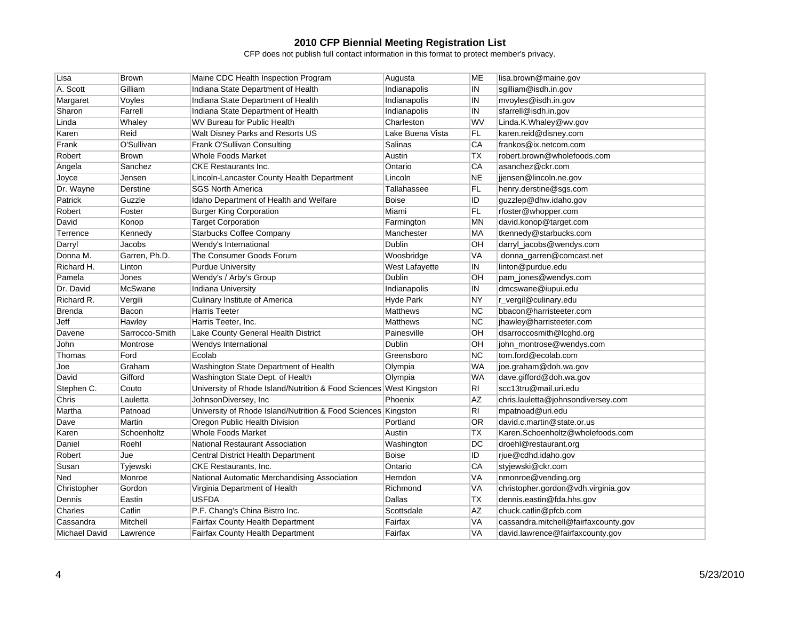| Lisa                 | <b>Brown</b>   | Maine CDC Health Inspection Program                                | Augusta          | МE             | lisa.brown@maine.gov                 |
|----------------------|----------------|--------------------------------------------------------------------|------------------|----------------|--------------------------------------|
| A. Scott             | Gilliam        | Indiana State Department of Health                                 | Indianapolis     | IN             | sgilliam@isdh.in.gov                 |
| Margaret             | Voyles         | Indiana State Department of Health                                 | Indianapolis     | IN             | mvoyles@isdh.in.gov                  |
| Sharon               | Farrell        | Indiana State Department of Health                                 | Indianapolis     | IN             | sfarrell@isdh.in.gov                 |
| Linda                | Whaley         | WV Bureau for Public Health                                        | Charleston       | WV             | Linda.K.Whaley@wv.gov                |
| Karen                | Reid           | Walt Disney Parks and Resorts US                                   | Lake Buena Vista | FL             | karen.reid@disney.com                |
| Frank                | O'Sullivan     | Frank O'Sullivan Consulting                                        | Salinas          | <b>CA</b>      | frankos@ix.netcom.com                |
| Robert               | <b>Brown</b>   | <b>Whole Foods Market</b>                                          | Austin           | TX             | robert.brown@wholefoods.com          |
| Angela               | Sanchez        | <b>CKE Restaurants Inc.</b>                                        | Ontario          | <b>CA</b>      | asanchez@ckr.com                     |
| Joyce                | Jensen         | Lincoln-Lancaster County Health Department                         | Lincoln          | <b>NE</b>      | jiensen@lincoln.ne.gov               |
| Dr. Wayne            | Derstine       | <b>SGS North America</b>                                           | Tallahassee      | FL             | henry.derstine@sgs.com               |
| Patrick              | Guzzle         | Idaho Department of Health and Welfare                             | <b>Boise</b>     | ID             | guzzlep@dhw.idaho.gov                |
| Robert               | Foster         | <b>Burger King Corporation</b>                                     | Miami            | FL             | rfoster@whopper.com                  |
| David                | Konop          | <b>Target Corporation</b>                                          | Farmington       | ΜN             | david.konop@target.com               |
| Terrence             | Kennedy        | <b>Starbucks Coffee Company</b>                                    | Manchester       | MA             | tkennedy@starbucks.com               |
| Darryl               | Jacobs         | Wendy's International                                              | <b>Dublin</b>    | OH             | darryl_jacobs@wendys.com             |
| Donna M.             | Garren, Ph.D.  | The Consumer Goods Forum                                           | Woosbridge       | <b>VA</b>      | donna_garren@comcast.net             |
| Richard H.           | Linton         | <b>Purdue University</b>                                           | West Lafayette   | IN             | linton@purdue.edu                    |
| Pamela               | Jones          | Wendy's / Arby's Group                                             | <b>Dublin</b>    | OH             | pam_jones@wendys.com                 |
| Dr. David            | McSwane        | Indiana University                                                 | Indianapolis     | IN             | dmcswane@iupui.edu                   |
| Richard R.           | Vergili        | <b>Culinary Institute of America</b>                               | <b>Hyde Park</b> | <b>NY</b>      | r_vergil@culinary.edu                |
| Brenda               | Bacon          | <b>Harris Teeter</b>                                               | <b>Matthews</b>  | <b>NC</b>      | bbacon@harristeeter.com              |
| Jeff                 | Hawley         | Harris Teeter, Inc.                                                | <b>Matthews</b>  | NC             | jhawley@harristeeter.com             |
| Davene               | Sarrocco-Smith | Lake County General Health District                                | Painesville      | OH             | dsarroccosmith@lcghd.org             |
| John                 | Montrose       | Wendys International                                               | Dublin           | OH             | john_montrose@wendys.com             |
| Thomas               | Ford           | Ecolab                                                             | Greensboro       | NC             | tom.ford@ecolab.com                  |
| Joe                  | Graham         | Washington State Department of Health                              | Olympia          | WA             | joe.graham@doh.wa.gov                |
| David                | Gifford        | Washington State Dept. of Health                                   | Olympia          | <b>WA</b>      | dave.gifford@doh.wa.gov              |
| Stephen C.           | Couto          | University of Rhode Island/Nutrition & Food Sciences West Kingston |                  | RI             | scc13tru@mail.uri.edu                |
| Chris                | Lauletta       | JohnsonDiversey, Inc.                                              | Phoenix          | <b>AZ</b>      | chris.lauletta@johnsondiversey.com   |
| Martha               | Patnoad        | University of Rhode Island/Nutrition & Food Sciences Kingston      |                  | R <sub>l</sub> | mpatnoad@uri.edu                     |
| Dave                 | Martin         | Oregon Public Health Division                                      | Portland         | <b>OR</b>      | david.c.martin@state.or.us           |
| Karen                | Schoenholtz    | <b>Whole Foods Market</b>                                          | Austin           | ТX             | Karen.Schoenholtz@wholefoods.com     |
| Daniel               | Roehl          | <b>National Restaurant Association</b>                             | Washington       | DC             | droehl@restaurant.org                |
| Robert               | Jue            | Central District Health Department                                 | <b>Boise</b>     | ID             | rjue@cdhd.idaho.gov                  |
| Susan                | Tyjewski       | CKE Restaurants, Inc.                                              | Ontario          | CA             | styjewski@ckr.com                    |
| Ned                  | Monroe         | National Automatic Merchandising Association                       | Herndon          | VA             | nmonroe@vending.org                  |
| Christopher          | Gordon         | Virginia Department of Health                                      | Richmond         | VA             | christopher.gordon@vdh.virginia.gov  |
| Dennis               | Eastin         | <b>USFDA</b>                                                       | Dallas           | <b>TX</b>      | dennis.eastin@fda.hhs.gov            |
| Charles              | Catlin         | P.F. Chang's China Bistro Inc.                                     | Scottsdale       | <b>AZ</b>      | chuck.catlin@pfcb.com                |
| Cassandra            | Mitchell       | Fairfax County Health Department                                   | Fairfax          | VA             | cassandra.mitchell@fairfaxcounty.gov |
| <b>Michael David</b> | Lawrence       | <b>Fairfax County Health Department</b>                            | Fairfax          | <b>VA</b>      | david.lawrence@fairfaxcounty.gov     |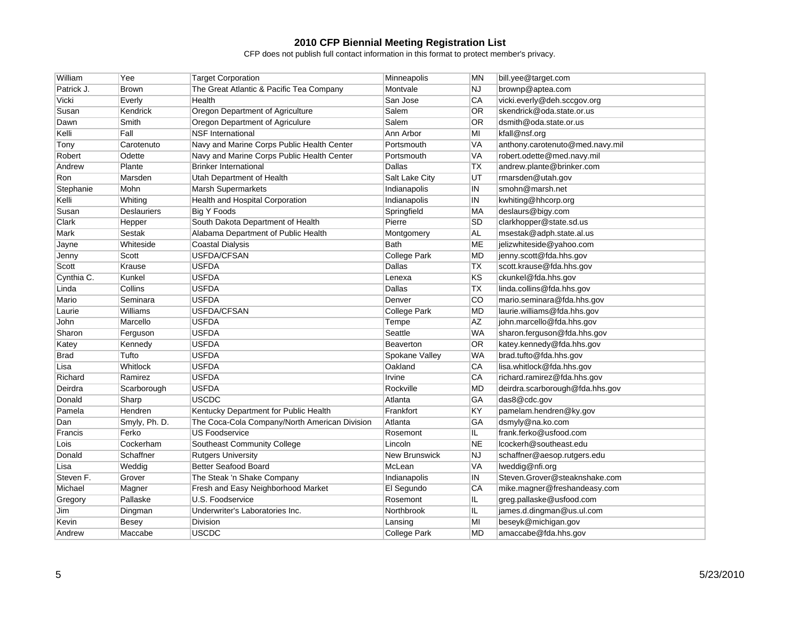| William    | Yee                | <b>Target Corporation</b>                     | Minneapolis          | <b>MN</b> | bill.yee@target.com             |
|------------|--------------------|-----------------------------------------------|----------------------|-----------|---------------------------------|
| Patrick J. | <b>Brown</b>       | The Great Atlantic & Pacific Tea Company      | Montvale             | <b>NJ</b> | brownp@aptea.com                |
| Vicki      | Everly             | Health                                        | San Jose             | <b>CA</b> | vicki.everly@deh.sccgov.org     |
| Susan      | Kendrick           | Oregon Department of Agriculture              | Salem                | 0R        | skendrick@oda.state.or.us       |
| Dawn       | Smith              | Oregon Department of Agriculure               | Salem                | <b>OR</b> | dsmith@oda.state.or.us          |
| Kelli      | Fall               | <b>NSF International</b>                      | Ann Arbor            | MI        | kfall@nsf.org                   |
| Tony       | Carotenuto         | Navy and Marine Corps Public Health Center    | Portsmouth           | <b>VA</b> | anthony.carotenuto@med.navy.mil |
| Robert     | Odette             | Navy and Marine Corps Public Health Center    | Portsmouth           | <b>VA</b> | robert.odette@med.navy.mil      |
| Andrew     | Plante             | <b>Brinker International</b>                  | Dallas               | <b>TX</b> | andrew.plante@brinker.com       |
| Ron        | Marsden            | Utah Department of Health                     | Salt Lake City       | lυT       | rmarsden@utah.gov               |
| Stephanie  | Mohn               | <b>Marsh Supermarkets</b>                     | Indianapolis         | IN        | smohn@marsh.net                 |
| Kelli      | Whiting            | Health and Hospital Corporation               | Indianapolis         | IN        | kwhiting@hhcorp.org             |
| Susan      | <b>Deslauriers</b> | <b>Big Y Foods</b>                            | Springfield          | MA        | deslaurs@bigy.com               |
| Clark      | Hepper             | South Dakota Department of Health             | Pierre               | <b>SD</b> | clarkhopper@state.sd.us         |
| Mark       | Sestak             | Alabama Department of Public Health           | Montgomery           | <b>AL</b> | msestak@adph.state.al.us        |
| Jayne      | Whiteside          | <b>Coastal Dialysis</b>                       | Bath                 | <b>ME</b> | jelizwhiteside@yahoo.com        |
| Jenny      | Scott              | <b>USFDA/CFSAN</b>                            | <b>College Park</b>  | <b>MD</b> | jenny.scott@fda.hhs.gov         |
| Scott      | Krause             | <b>USFDA</b>                                  | Dallas               | <b>TX</b> | scott.krause@fda.hhs.gov        |
| Cynthia C. | Kunkel             | <b>USFDA</b>                                  | Lenexa               | KS        | ckunkel@fda.hhs.gov             |
| Linda      | Collins            | <b>USFDA</b>                                  | Dallas               | <b>TX</b> | linda.collins@fda.hhs.gov       |
| Mario      | Seminara           | <b>USFDA</b>                                  | Denver               | CO        | mario.seminara@fda.hhs.gov      |
| Laurie     | Williams           | USFDA/CFSAN                                   | <b>College Park</b>  | <b>MD</b> | laurie.williams@fda.hhs.gov     |
| John       | Marcello           | <b>USFDA</b>                                  | Tempe                | <b>AZ</b> | john.marcello@fda.hhs.gov       |
| Sharon     | Ferguson           | <b>USFDA</b>                                  | Seattle              | <b>WA</b> | sharon.ferguson@fda.hhs.gov     |
| Katey      | Kennedy            | <b>USFDA</b>                                  | <b>Beaverton</b>     | <b>OR</b> | katey.kennedy@fda.hhs.gov       |
| Brad       | Tufto              | <b>USFDA</b>                                  | Spokane Valley       | <b>WA</b> | brad.tufto@fda.hhs.gov          |
| Lisa       | Whitlock           | <b>USFDA</b>                                  | Oakland              | CA        | lisa.whitlock@fda.hhs.gov       |
| Richard    | Ramirez            | <b>USFDA</b>                                  | Irvine               | CA        | richard.ramirez@fda.hhs.gov     |
| Deirdra    | Scarborough        | <b>USFDA</b>                                  | Rockville            | <b>MD</b> | deirdra.scarborough@fda.hhs.gov |
| Donald     | Sharp              | <b>USCDC</b>                                  | Atlanta              | GA        | das8@cdc.gov                    |
| Pamela     | Hendren            | Kentucky Department for Public Health         | Frankfort            | KY        | pamelam.hendren@ky.gov          |
| Dan        | Smyly, Ph. D.      | The Coca-Cola Company/North American Division | Atlanta              | GA        | dsmyly@na.ko.com                |
| Francis    | Ferko              | <b>US Foodservice</b>                         | Rosemont             | IL.       | frank.ferko@usfood.com          |
| Lois       | Cockerham          | Southeast Community College                   | Lincoln              | <b>NE</b> | lcockerh@southeast.edu          |
| Donald     | Schaffner          | <b>Rutgers University</b>                     | <b>New Brunswick</b> | <b>NJ</b> | schaffner@aesop.rutgers.edu     |
| Lisa       | Weddig             | <b>Better Seafood Board</b>                   | McLean               | <b>VA</b> | lweddig@nfi.org                 |
| Steven F.  | Grover             | The Steak 'n Shake Company                    | Indianapolis         | IN        | Steven.Grover@steaknshake.com   |
| Michael    | Magner             | Fresh and Easy Neighborhood Market            | El Segundo           | CA        | mike.magner@freshandeasy.com    |
| Gregory    | Pallaske           | U.S. Foodservice                              | Rosemont             | IL        | greg.pallaske@usfood.com        |
| Jim        | Dingman            | Underwriter's Laboratories Inc.               | Northbrook           | IL.       | james.d.dingman@us.ul.com       |
| Kevin      | <b>Besey</b>       | Division                                      | Lansing              | MI        | beseyk@michigan.gov             |
| Andrew     | Maccabe            | <b>USCDC</b>                                  | <b>College Park</b>  | <b>MD</b> | amaccabe@fda.hhs.gov            |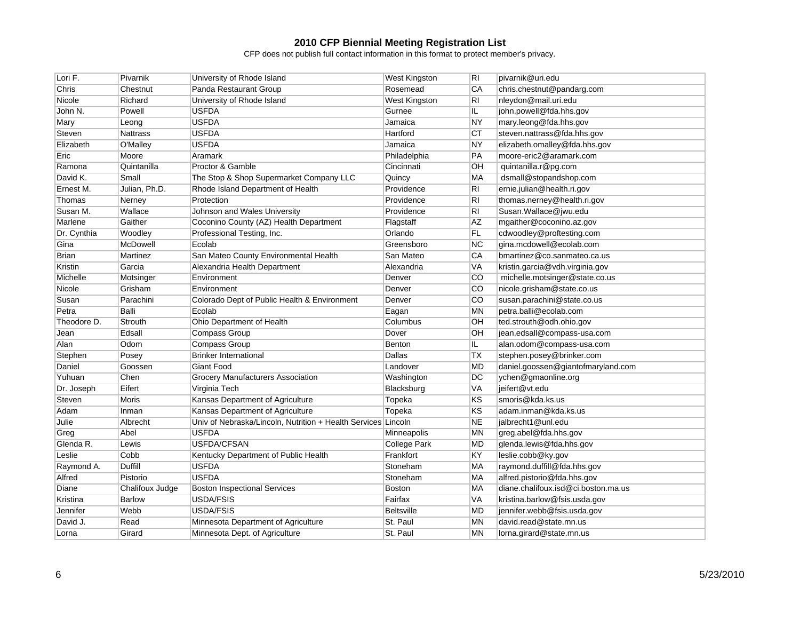| Lori F.      | Pivarnik        | University of Rhode Island                                    | <b>West Kingston</b> | RI        | pivarnik@uri.edu                    |
|--------------|-----------------|---------------------------------------------------------------|----------------------|-----------|-------------------------------------|
| Chris        | Chestnut        | Panda Restaurant Group                                        | Rosemead             | CA        | chris.chestnut@pandarg.com          |
| Nicole       | Richard         | University of Rhode Island                                    | <b>West Kingston</b> | RI        | nleydon@mail.uri.edu                |
| John N.      | Powell          | USFDA                                                         | Gurnee               | IL.       | john.powell@fda.hhs.gov             |
| Mary         | Leong           | <b>USFDA</b>                                                  | Jamaica              | <b>NY</b> | mary.leong@fda.hhs.gov              |
| Steven       | <b>Nattrass</b> | <b>USFDA</b>                                                  | Hartford             | <b>CT</b> | steven.nattrass@fda.hhs.gov         |
| Elizabeth    | O'Malley        | <b>USFDA</b>                                                  | Jamaica              | <b>NY</b> | elizabeth.omalley@fda.hhs.gov       |
| Eric         | Moore           | Aramark                                                       | Philadelphia         | PA        | moore-eric2@aramark.com             |
| Ramona       | Quintanilla     | Proctor & Gamble                                              | Cincinnati           | <b>OH</b> | quintanilla.r@pg.com                |
| David K.     | Small           | The Stop & Shop Supermarket Company LLC                       | Quincy               | MA        | dsmall@stopandshop.com              |
| Ernest M.    | Julian, Ph.D.   | Rhode Island Department of Health                             | Providence           | RI        | ernie.julian@health.ri.gov          |
| Thomas       | Nerney          | Protection                                                    | Providence           | RI        | thomas.nerney@health.ri.gov         |
| Susan M.     | Wallace         | Johnson and Wales University                                  | Providence           | RI        | Susan.Wallace@jwu.edu               |
| Marlene      | Gaither         | Coconino County (AZ) Health Department                        | Flagstaff            | <b>AZ</b> | mgaither@coconino.az.gov            |
| Dr. Cynthia  | Woodley         | Professional Testing, Inc.                                    | Orlando              | <b>FL</b> | cdwoodley@proftesting.com           |
| Gina         | McDowell        | Ecolab                                                        | Greensboro           | <b>NC</b> | gina.mcdowell@ecolab.com            |
| <b>Brian</b> | Martinez        | San Mateo County Environmental Health                         | San Mateo            | CA        | bmartinez@co.sanmateo.ca.us         |
| Kristin      | Garcia          | Alexandria Health Department                                  | Alexandria           | VA        | kristin.garcia@vdh.virginia.gov     |
| Michelle     | Motsinger       | Environment                                                   | Denver               | CO        | michelle.motsinger@state.co.us      |
| Nicole       | Grisham         | Environment                                                   | Denver               | <b>CO</b> | nicole.grisham@state.co.us          |
| Susan        | Parachini       | Colorado Dept of Public Health & Environment                  | Denver               | CO        | susan.parachini@state.co.us         |
| Petra        | Balli           | Ecolab                                                        | Eagan                | <b>MN</b> | petra.balli@ecolab.com              |
| Theodore D.  | Strouth         | Ohio Department of Health                                     | Columbus             | OH        | ted.strouth@odh.ohio.gov            |
| Jean         | Edsall          | Compass Group                                                 | Dover                | OH        | jean.edsall@compass-usa.com         |
| Alan         | Odom            | Compass Group                                                 | <b>Benton</b>        | IL.       | alan.odom@compass-usa.com           |
| Stephen      | Posey           | <b>Brinker International</b>                                  | Dallas               | TХ        | stephen.posey@brinker.com           |
| Daniel       | Goossen         | <b>Giant Food</b>                                             | Landover             | <b>MD</b> | daniel.goossen@giantofmaryland.com  |
| Yuhuan       | Chen            | Grocery Manufacturers Association                             | Washington           | DC        | ychen@gmaonline.org                 |
| Dr. Joseph   | Eifert          | Virginia Tech                                                 | Blacksburg           | <b>VA</b> | jeifert@vt.edu                      |
| Steven       | Moris           | Kansas Department of Agriculture                              | Topeka               | KS        | smoris@kda.ks.us                    |
| Adam         | Inman           | Kansas Department of Agriculture                              | Topeka               | KS        | adam.inman@kda.ks.us                |
| Julie        | Albrecht        | Univ of Nebraska/Lincoln, Nutrition + Health Services Lincoln |                      | <b>NE</b> | jalbrecht1@unl.edu                  |
| Greg         | Abel            | <b>USFDA</b>                                                  | Minneapolis          | <b>MN</b> | greg.abel@fda.hhs.gov               |
| Glenda R.    | Lewis           | USFDA/CFSAN                                                   | <b>College Park</b>  | <b>MD</b> | glenda.lewis@fda.hhs.gov            |
| Leslie       | Cobb            | Kentucky Department of Public Health                          | Frankfort            | KY        | leslie.cobb@ky.gov                  |
| Raymond A.   | Duffill         | <b>USFDA</b>                                                  | Stoneham             | <b>MA</b> | raymond.duffill@fda.hhs.gov         |
| Alfred       | Pistorio        | <b>USFDA</b>                                                  | Stoneham             | МA        | alfred.pistorio@fda.hhs.gov         |
| Diane        | Chalifoux Judge | <b>Boston Inspectional Services</b>                           | <b>Boston</b>        | MA        | diane.chalifoux.isd@ci.boston.ma.us |
| Kristina     | <b>Barlow</b>   | <b>USDA/FSIS</b>                                              | Fairfax              | <b>VA</b> | kristina.barlow@fsis.usda.gov       |
| Jennifer     | Webb            | <b>USDA/FSIS</b>                                              | <b>Beltsville</b>    | <b>MD</b> | jennifer.webb@fsis.usda.gov         |
| David J.     | Read            | Minnesota Department of Agriculture                           | St. Paul             | <b>MN</b> | david.read@state.mn.us              |
| Lorna        | Girard          | Minnesota Dept. of Agriculture                                | St. Paul             | <b>MN</b> | lorna.girard@state.mn.us            |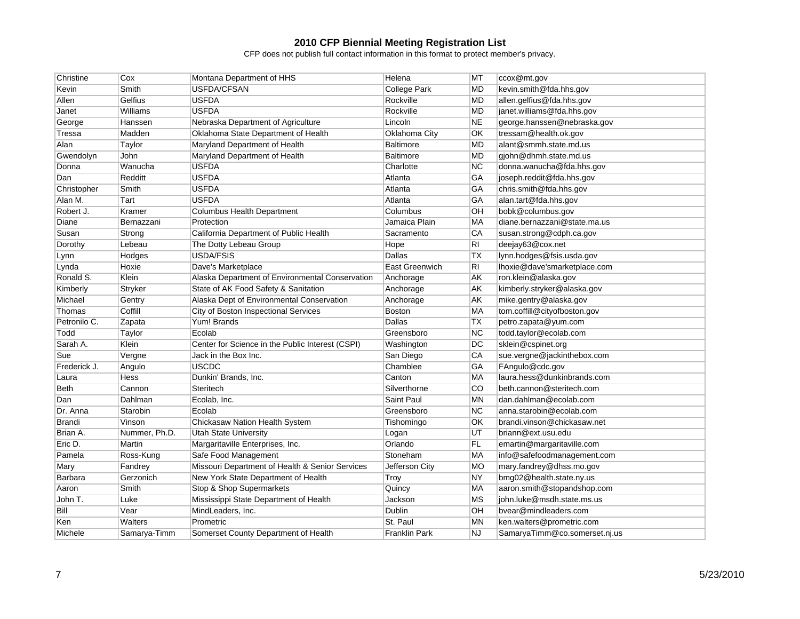| Christine      | Cox           | Montana Department of HHS                        | Helena               | МT        | ccox@mt.gov                   |
|----------------|---------------|--------------------------------------------------|----------------------|-----------|-------------------------------|
| Kevin          | Smith         | USFDA/CFSAN                                      | <b>College Park</b>  | <b>MD</b> | kevin.smith@fda.hhs.gov       |
| Allen          | Gelfius       | <b>USFDA</b>                                     | Rockville            | <b>MD</b> | allen.gelfius@fda.hhs.gov     |
| Janet          | Williams      | <b>USFDA</b>                                     | Rockville            | <b>MD</b> | janet.williams@fda.hhs.gov    |
| George         | Hanssen       | Nebraska Department of Agriculture               | Lincoln              | <b>NE</b> | george.hanssen@nebraska.gov   |
| Tressa         | Madden        | Oklahoma State Department of Health              | Oklahoma City        | <b>OK</b> | tressam@health.ok.gov         |
| Alan           | Taylor        | Maryland Department of Health                    | <b>Baltimore</b>     | <b>MD</b> | alant@smmh.state.md.us        |
| Gwendolyn      | John          | Maryland Department of Health                    | <b>Baltimore</b>     | <b>MD</b> | giohn@dhmh.state.md.us        |
| Donna          | Wanucha       | <b>USFDA</b>                                     | Charlotte            | <b>NC</b> | donna.wanucha@fda.hhs.gov     |
| Dan            | Redditt       | <b>USFDA</b>                                     | Atlanta              | GA        | joseph.reddit@fda.hhs.gov     |
| Christopher    | Smith         | <b>USFDA</b>                                     | Atlanta              | GA        | chris.smith@fda.hhs.gov       |
| Alan M.        | Tart          | <b>USFDA</b>                                     | Atlanta              | GA        | alan.tart@fda.hhs.gov         |
| Robert J.      | Kramer        | <b>Columbus Health Department</b>                | Columbus             | <b>OH</b> | bobk@columbus.gov             |
| Diane          | Bernazzani    | Protection                                       | Jamaica Plain        | MA        | diane.bernazzani@state.ma.us  |
| Susan          | Strong        | California Department of Public Health           | Sacramento           | CA        | susan.strong@cdph.ca.gov      |
| Dorothy        | Lebeau        | The Dotty Lebeau Group                           | Hope                 | RI        | deejay63@cox.net              |
| Lynn           | Hodges        | <b>USDA/FSIS</b>                                 | Dallas               | <b>TX</b> | lynn.hodges@fsis.usda.gov     |
| Lynda          | Hoxie         | Dave's Marketplace                               | East Greenwich       | RI        | lhoxie@dave'smarketplace.com  |
| Ronald S.      | Klein         | Alaska Department of Environmental Conservation  | Anchorage            | AK        | ron.klein@alaska.gov          |
| Kimberly       | Stryker       | State of AK Food Safety & Sanitation             | Anchorage            | AK        | kimberly.stryker@alaska.gov   |
| Michael        | Gentry        | Alaska Dept of Environmental Conservation        | Anchorage            | AK        | mike.gentry@alaska.gov        |
| Thomas         | Coffill       | City of Boston Inspectional Services             | Boston               | MA        | tom.coffill@cityofboston.gov  |
| Petronilo C.   | Zapata        | Yum! Brands                                      | Dallas               | <b>TX</b> | petro.zapata@yum.com          |
| Todd           | Taylor        | Ecolab                                           | Greensboro           | <b>NC</b> | todd.taylor@ecolab.com        |
| Sarah A.       | Klein         | Center for Science in the Public Interest (CSPI) | Washington           | DC        | sklein@cspinet.org            |
| Sue            | Vergne        | Jack in the Box Inc.                             | San Diego            | CA        | sue.vergne@jackinthebox.com   |
| Frederick J.   | Angulo        | <b>USCDC</b>                                     | Chamblee             | GA        | FAngulo@cdc.gov               |
| Laura          | <b>Hess</b>   | Dunkin' Brands, Inc.                             | Canton               | MA        | laura.hess@dunkinbrands.com   |
| Beth           | Cannon        | Steritech                                        | Silverthorne         | <b>CO</b> | beth.cannon@steritech.com     |
| Dan            | Dahlman       | Ecolab, Inc.                                     | Saint Paul           | <b>MN</b> | dan.dahlman@ecolab.com        |
| Dr. Anna       | Starobin      | Ecolab                                           | Greensboro           | NC        | anna.starobin@ecolab.com      |
| <b>Brandi</b>  | Vinson        | Chickasaw Nation Health System                   | Tishomingo           | OK        | brandi.vinson@chickasaw.net   |
| Brian A.       | Nummer, Ph.D. | <b>Utah State University</b>                     | Logan                | UT        | briann@ext.usu.edu            |
| Eric D.        | Martin        | Margaritaville Enterprises, Inc.                 | Orlando              | FL        | emartin@margaritaville.com    |
| Pamela         | Ross-Kung     | Safe Food Management                             | Stoneham             | MA        | info@safefoodmanagement.com   |
| Mary           | Fandrey       | Missouri Department of Health & Senior Services  | Jefferson City       | <b>MO</b> | mary.fandrey@dhss.mo.gov      |
| <b>Barbara</b> | Gerzonich     | New York State Department of Health              | Troy                 | <b>NY</b> | bmg02@health.state.ny.us      |
| Aaron          | Smith         | Stop & Shop Supermarkets                         | Quincy               | MA        | aaron.smith@stopandshop.com   |
| John T.        | Luke          | Mississippi State Department of Health           | Jackson              | <b>MS</b> | john.luke@msdh.state.ms.us    |
| Bill           | Vear          | MindLeaders, Inc.                                | Dublin               | OH        | bvear@mindleaders.com         |
| Ken            | Walters       | Prometric                                        | St. Paul             | <b>MN</b> | ken.walters@prometric.com     |
| Michele        | Samarva-Timm  | Somerset County Department of Health             | <b>Franklin Park</b> | <b>NJ</b> | SamaryaTimm@co.somerset.nj.us |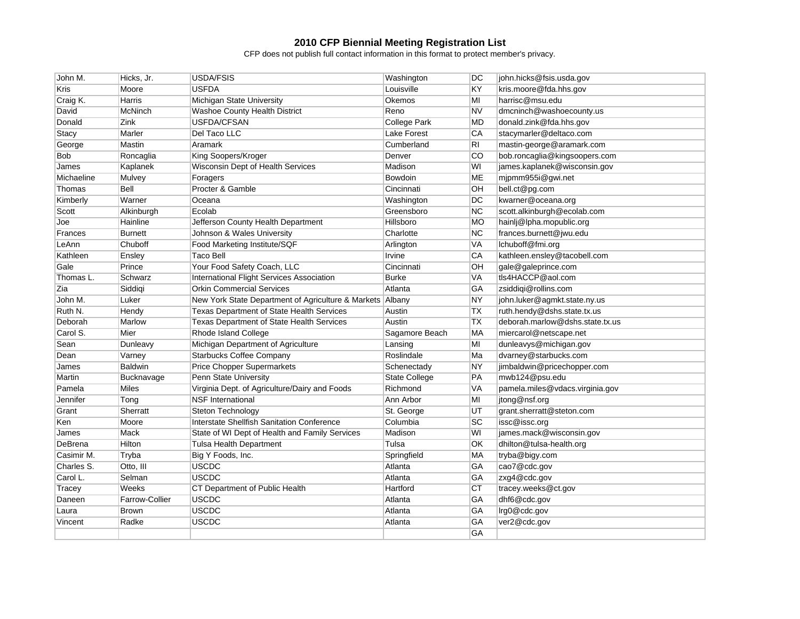| John M.    | Hicks, Jr.     | <b>USDA/FSIS</b>                                          | Washington           | DC        | john.hicks@fsis.usda.gov        |
|------------|----------------|-----------------------------------------------------------|----------------------|-----------|---------------------------------|
| Kris       | Moore          | <b>USFDA</b>                                              | Louisville           | KY        | kris.moore@fda.hhs.gov          |
| Craig K.   | Harris         | Michigan State University                                 | Okemos               | MI        | harrisc@msu.edu                 |
| David      | McNinch        | Washoe County Health District                             | Reno                 | <b>NV</b> | dmcninch@washoecounty.us        |
| Donald     | Zink           | USFDA/CFSAN                                               | <b>College Park</b>  | <b>MD</b> | donald.zink@fda.hhs.gov         |
| Stacy      | Marler         | Del Taco LLC                                              | Lake Forest          | CA        | stacymarler@deltaco.com         |
| George     | Mastin         | Aramark                                                   | Cumberland           | RI        | mastin-george@aramark.com       |
| <b>Bob</b> | Roncaglia      | King Soopers/Kroger                                       | Denver               | CO        | bob.roncaglia@kingsoopers.com   |
| James      | Kaplanek       | Wisconsin Dept of Health Services                         | Madison              | WI        | james.kaplanek@wisconsin.gov    |
| Michaeline | Mulvey         | Foragers                                                  | Bowdoin              | ME        | mjpmm955i@gwi.net               |
| Thomas     | Bell           | Procter & Gamble                                          | Cincinnati           | OH        | bell.ct@pg.com                  |
| Kimberly   | Warner         | Oceana                                                    | Washington           | DC        | kwarner@oceana.org              |
| Scott      | Alkinburgh     | Ecolab                                                    | Greensboro           | <b>NC</b> | scott.alkinburgh@ecolab.com     |
| Joe        | Hainline       | Jefferson County Health Department                        | Hillsboro            | <b>MO</b> | hainlj@lpha.mopublic.org        |
| Frances    | <b>Burnett</b> | Johnson & Wales University                                | Charlotte            | NC        | frances.burnett@jwu.edu         |
| LeAnn      | Chuboff        | Food Marketing Institute/SQF                              | Arlington            | <b>VA</b> | Ichuboff@fmi.org                |
| Kathleen   | Ensley         | <b>Taco Bell</b>                                          | Irvine               | CA        | kathleen.ensley@tacobell.com    |
| Gale       | Prince         | Your Food Safety Coach, LLC                               | Cincinnati           | OH        | gale@galeprince.com             |
| Thomas L.  | Schwarz        | International Flight Services Association                 | Burke                | <b>VA</b> | tls4HACCP@aol.com               |
| Zia        | Siddigi        | <b>Orkin Commercial Services</b>                          | Atlanta              | GA        | zsiddiqi@rollins.com            |
| John M.    | Luker          | New York State Department of Agriculture & Markets Albany |                      | <b>NY</b> | john.luker@agmkt.state.ny.us    |
| Ruth N.    | Hendy          | Texas Department of State Health Services                 | Austin               | <b>TX</b> | ruth.hendy@dshs.state.tx.us     |
| Deborah    | Marlow         | Texas Department of State Health Services                 | Austin               | <b>TX</b> | deborah.marlow@dshs.state.tx.us |
| Carol S.   | Mier           | Rhode Island College                                      | Sagamore Beach       | MA        | miercarol@netscape.net          |
| Sean       | Dunleavy       | Michigan Department of Agriculture                        | Lansing              | MI        | dunleavys@michigan.gov          |
| Dean       | Varney         | <b>Starbucks Coffee Company</b>                           | Roslindale           | Ma        | dvarney@starbucks.com           |
| James      | <b>Baldwin</b> | <b>Price Chopper Supermarkets</b>                         | Schenectady          | <b>NY</b> | jimbaldwin@pricechopper.com     |
| Martin     | Bucknavage     | Penn State University                                     | <b>State College</b> | PA        | mwb124@psu.edu                  |
| Pamela     | Miles          | Virginia Dept. of Agriculture/Dairy and Foods             | Richmond             | VA        | pamela.miles@vdacs.virginia.gov |
| Jennifer   | Tong           | <b>NSF</b> International                                  | Ann Arbor            | MI        | jtong@nsf.org                   |
| Grant      | Sherratt       | Steton Technology                                         | St. George           | UT        | grant.sherratt@steton.com       |
| Ken        | Moore          | <b>Interstate Shellfish Sanitation Conference</b>         | Columbia             | <b>SC</b> | issc@issc.org                   |
| James      | Mack           | State of WI Dept of Health and Family Services            | Madison              | WI        | james.mack@wisconsin.gov        |
| DeBrena    | Hilton         | <b>Tulsa Health Department</b>                            | Tulsa                | <b>OK</b> | dhilton@tulsa-health.org        |
| Casimir M. | Tryba          | Big Y Foods, Inc.                                         | Springfield          | MA        | tryba@bigy.com                  |
| Charles S. | Otto, III      | USCDC                                                     | Atlanta              | GA        | cao7@cdc.gov                    |
| Carol L.   | Selman         | <b>USCDC</b>                                              | Atlanta              | GA        | zxg4@cdc.gov                    |
| Tracey     | Weeks          | CT Department of Public Health                            | Hartford             | <b>CT</b> | tracey.weeks@ct.gov             |
| Daneen     | Farrow-Collier | <b>USCDC</b>                                              | Atlanta              | GA        | dhf6@cdc.gov                    |
| Laura      | <b>Brown</b>   | <b>USCDC</b>                                              | Atlanta              | <b>GA</b> | Irg0@cdc.gov                    |
| Vincent    | Radke          | <b>USCDC</b>                                              | Atlanta              | <b>GA</b> | ver2@cdc.gov                    |
|            |                |                                                           |                      | GA        |                                 |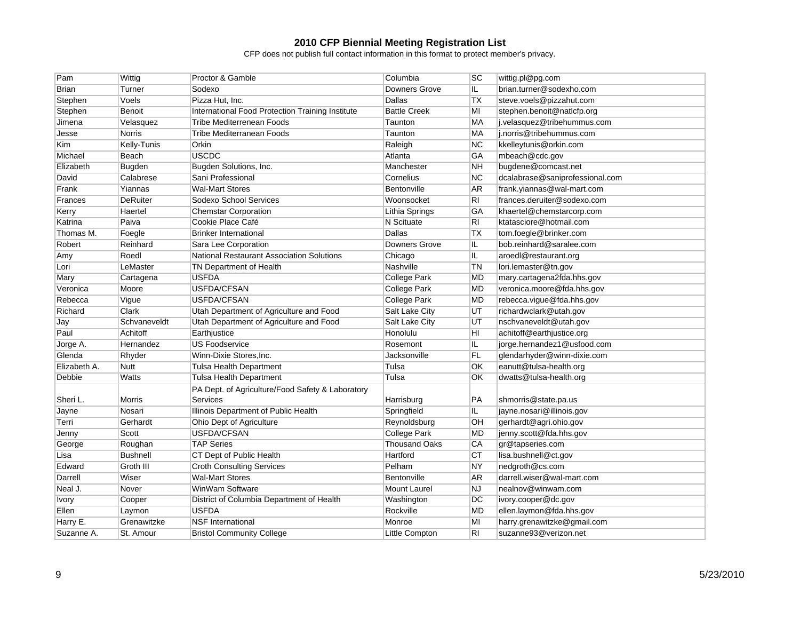| Pam          | Wittig          | Proctor & Gamble                                 | Columbia             | <b>SC</b>      | wittig.pl@pg.com                |
|--------------|-----------------|--------------------------------------------------|----------------------|----------------|---------------------------------|
| <b>Brian</b> | Turner          | Sodexo                                           | <b>Downers Grove</b> | IL             | brian.turner@sodexho.com        |
| Stephen      | Voels           | Pizza Hut, Inc.                                  | Dallas               | <b>TX</b>      | steve.voels@pizzahut.com        |
| Stephen      | <b>Benoit</b>   | International Food Protection Training Institute | <b>Battle Creek</b>  | МI             | stephen.benoit@naticfp.org      |
| Jimena       | Velasquez       | <b>Tribe Mediterrenean Foods</b>                 | Taunton              | MA             | j.velasquez@tribehummus.com     |
| Jesse        | <b>Norris</b>   | Tribe Mediterranean Foods                        | Taunton              | MA             | j.norris@tribehummus.com        |
| Kim          | Kelly-Tunis     | Orkin                                            | Raleigh              | <b>NC</b>      | kkelleytunis@orkin.com          |
| Michael      | Beach           | <b>USCDC</b>                                     | Atlanta              | GA             | mbeach@cdc.gov                  |
| Elizabeth    | <b>Bugden</b>   | Bugden Solutions, Inc.                           | Manchester           | <b>NH</b>      | bugdene@comcast.net             |
| David        | Calabrese       | Sani Professional                                | Cornelius            | NC             | dcalabrase@saniprofessional.com |
| Frank        | Yiannas         | <b>Wal-Mart Stores</b>                           | Bentonville          | AR.            | frank.yiannas@wal-mart.com      |
| Frances      | <b>DeRuiter</b> | Sodexo School Services                           | Woonsocket           | R <sub>1</sub> | frances.deruiter@sodexo.com     |
| Kerry        | Haertel         | <b>Chemstar Corporation</b>                      | Lithia Springs       | GA             | khaertel@chemstarcorp.com       |
| Katrina      | Paiva           | Cookie Place Café                                | N Scituate           | RI             | ktatasciore@hotmail.com         |
| Thomas M.    | Foegle          | <b>Brinker International</b>                     | Dallas               | <b>TX</b>      | tom.foegle@brinker.com          |
| Robert       | Reinhard        | Sara Lee Corporation                             | <b>Downers Grove</b> | IL.            | bob.reinhard@saralee.com        |
| Amy          | Roedl           | <b>National Restaurant Association Solutions</b> | Chicago              | IL.            | aroedl@restaurant.org           |
| Lori         | LeMaster        | TN Department of Health                          | Nashville            | TN             | lori.lemaster@tn.gov            |
| Mary         | Cartagena       | <b>USFDA</b>                                     | <b>College Park</b>  | <b>MD</b>      | mary.cartagena2fda.hhs.gov      |
| Veronica     | Moore           | USFDA/CFSAN                                      | <b>College Park</b>  | <b>MD</b>      | veronica.moore@fda.hhs.gov      |
| Rebecca      | Vigue           | USFDA/CFSAN                                      | <b>College Park</b>  | <b>MD</b>      | rebecca.vigue@fda.hhs.gov       |
| Richard      | Clark           | Utah Department of Agriculture and Food          | Salt Lake City       | UT             | richardwclark@utah.gov          |
| Jay          | Schvaneveldt    | Utah Department of Agriculture and Food          | Salt Lake City       | UT             | nschvaneveldt@utah.gov          |
| Paul         | Achitoff        | Earthjustice                                     | Honolulu             | HI             | achitoff@earthjustice.org       |
| Jorge A.     | Hernandez       | <b>US Foodservice</b>                            | Rosemont             | IL.            | jorge.hernandez1@usfood.com     |
| Glenda       | Rhyder          | Winn-Dixie Stores, Inc.                          | Jacksonville         | <b>FL</b>      | glendarhyder@winn-dixie.com     |
| Elizabeth A. | <b>Nutt</b>     | <b>Tulsa Health Department</b>                   | Tulsa                | <b>OK</b>      | eanutt@tulsa-health.org         |
| Debbie       | Watts           | Tulsa Health Department                          | Tulsa                | OK             | dwatts@tulsa-health.org         |
|              |                 | PA Dept. of Agriculture/Food Safety & Laboratory |                      |                |                                 |
| Sheri L.     | <b>Morris</b>   | Services                                         | Harrisburg           | PA             | shmorris@state.pa.us            |
| Jayne        | Nosari          | Illinois Department of Public Health             | Springfield          | IL.            | jayne.nosari@illinois.gov       |
| Terri        | Gerhardt        | Ohio Dept of Agriculture                         | Reynoldsburg         | OH             | gerhardt@agri.ohio.gov          |
| Jenny        | Scott           | USFDA/CFSAN                                      | <b>College Park</b>  | <b>MD</b>      | jenny.scott@fda.hhs.gov         |
| George       | Roughan         | <b>TAP Series</b>                                | <b>Thousand Oaks</b> | CA             | gr@tapseries.com                |
| Lisa         | <b>Bushnell</b> | CT Dept of Public Health                         | Hartford             | CT             | lisa.bushnell@ct.gov            |
| Edward       | Groth III       | <b>Croth Consulting Services</b>                 | Pelham               | <b>NY</b>      | nedgroth@cs.com                 |
| Darrell      | Wiser           | <b>Wal-Mart Stores</b>                           | Bentonville          | AR             | darrell.wiser@wal-mart.com      |
| Neal J.      | Nover           | WinWam Software                                  | Mount Laurel         | <b>NJ</b>      | nealnov@winwam.com              |
| <b>Ivory</b> | Cooper          | District of Columbia Department of Health        | Washington           | DC             | ivory.cooper@dc.gov             |
| Ellen        | Laymon          | <b>USFDA</b>                                     | Rockville            | MD             | ellen.laymon@fda.hhs.gov        |
| Harry E.     | Grenawitzke     | <b>NSF</b> International                         | Monroe               | MI             | harry.grenawitzke@gmail.com     |
| Suzanne A.   | St. Amour       | <b>Bristol Community College</b>                 | Little Compton       | RI             | suzanne93@verizon.net           |